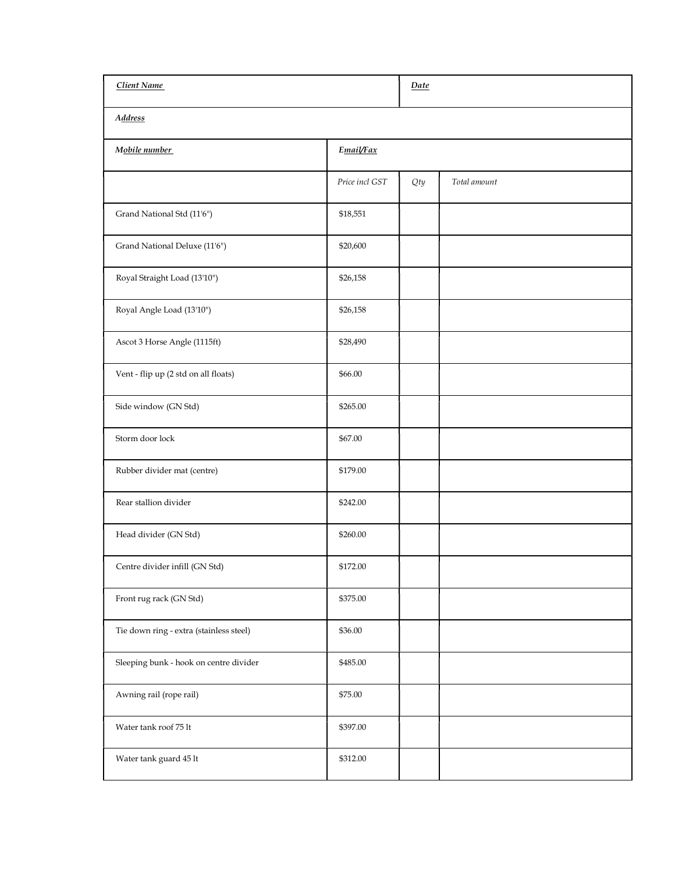| Client Name                             |                | Date  |              |  |
|-----------------------------------------|----------------|-------|--------------|--|
| <b>Address</b>                          |                |       |              |  |
| Mobile number                           | Email/Fax      |       |              |  |
|                                         | Price incl GST | $Qty$ | Total amount |  |
| Grand National Std (11'6")              | \$18,551       |       |              |  |
| Grand National Deluxe (11'6")           | \$20,600       |       |              |  |
| Royal Straight Load (13'10")            | \$26,158       |       |              |  |
| Royal Angle Load (13'10")               | \$26,158       |       |              |  |
| Ascot 3 Horse Angle (1115ft)            | \$28,490       |       |              |  |
| Vent - flip up (2 std on all floats)    | \$66.00        |       |              |  |
| Side window (GN Std)                    | \$265.00       |       |              |  |
| Storm door lock                         | \$67.00        |       |              |  |
| Rubber divider mat (centre)             | \$179.00       |       |              |  |
| Rear stallion divider                   | \$242.00       |       |              |  |
| Head divider (GN Std)                   | \$260.00       |       |              |  |
| Centre divider infill (GN Std)          | \$172.00       |       |              |  |
| Front rug rack (GN Std)                 | \$375.00       |       |              |  |
| Tie down ring - extra (stainless steel) | \$36.00        |       |              |  |
| Sleeping bunk - hook on centre divider  | \$485.00       |       |              |  |
| Awning rail (rope rail)                 | \$75.00        |       |              |  |
| Water tank roof 75 lt                   | \$397.00       |       |              |  |
| Water tank guard 45 lt                  | \$312.00       |       |              |  |